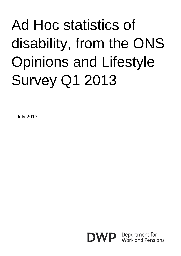# Ad Hoc statistics of disability, from the ONS Opinions and Lifestyle Survey Q1 2013

July 2013

Department for Work and Pensions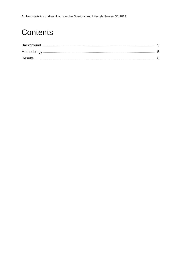### **Contents**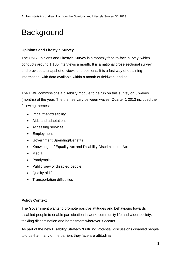### <span id="page-2-0"></span>**Background**

#### **Opinions and Lifestyle Survey**

The ONS Opinions and Lifestyle Survey is a monthly face-to-face survey, which conducts around 1,100 interviews a month. It is a national cross-sectional survey, and provides a snapshot of views and opinions. It is a fast way of obtaining information, with data available within a month of fieldwork ending.

The DWP commissions a disability module to be run on this survey on 8 waves (months) of the year. The themes vary between waves. Quarter 1 2013 included the following themes:

- Impairment/disability
- Aids and adaptations
- Accessing services
- Employment
- Government Spending/Benefits
- Knowledge of Equality Act and Disability Discrimination Act
- Media
- Paralympics
- Public view of disabled people
- Quality of life
- Transportation difficulties

#### **Policy Context**

The Government wants to promote positive attitudes and behaviours towards disabled people to enable participation in work, community life and wider society, tackling discrimination and harassment wherever it occurs.

As part of the new Disability Strategy 'Fulfilling Potential' discussions disabled people told us that many of the barriers they face are attitudinal.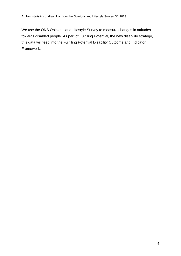We use the ONS Opinions and Lifestyle Survey to measure changes in attitudes towards disabled people. As part of Fulfilling Potential, the new disability strategy, this data will feed into the Fulfilling Potential Disability Outcome and Indicator Framework.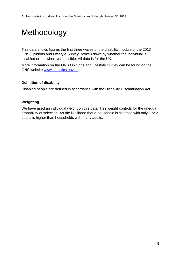## <span id="page-4-0"></span>Methodology

This data shows figures the first three waves of the disability module of the 2013 ONS Opinions and Lifestyle Survey, broken down by whether the individual is disabled or not wherever possible. All data is for the UK.

More information on the ONS Opinions and Lifestyle Survey can be found on the ONS website [www.statistics.gov.uk](http://www.statistics.gov.uk/).

### **Definition of disability**

Disabled people are defined in accordance with the Disability Discrimination Act.

### **Weighting**

We have used an individual weight on this data. This weight controls for the unequal probability of selection. As the likelihood that a household is selected with only 1 or 2 adults is higher than households with many adults.